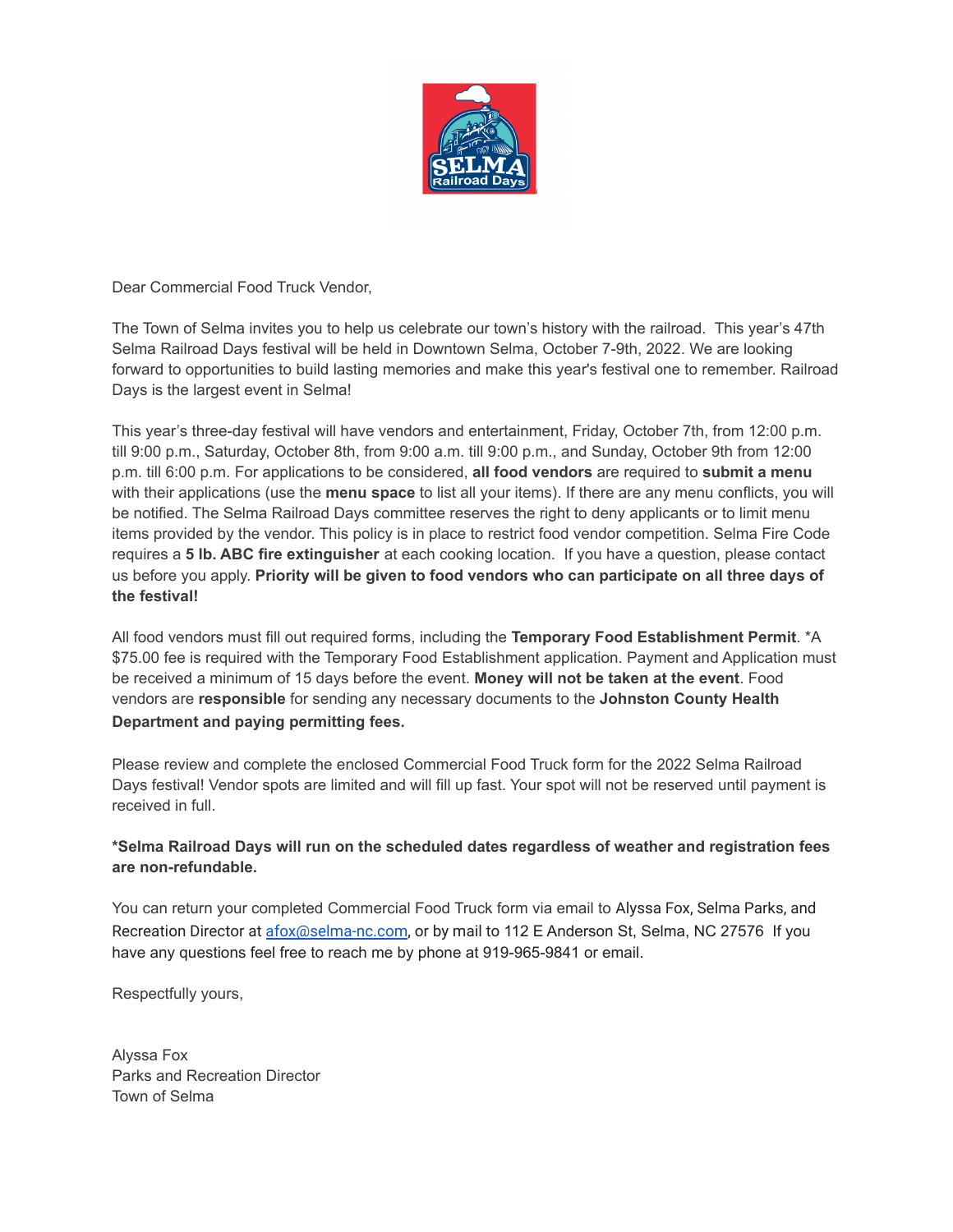

Dear Commercial Food Truck Vendor,

The Town of Selma invites you to help us celebrate our town's history with the railroad. This year's 47th Selma Railroad Days festival will be held in Downtown Selma, October 7-9th, 2022. We are looking forward to opportunities to build lasting memories and make this year's festival one to remember. Railroad Days is the largest event in Selma!

This year's three-day festival will have vendors and entertainment, Friday, October 7th, from 12:00 p.m. till 9:00 p.m., Saturday, October 8th, from 9:00 a.m. till 9:00 p.m., and Sunday, October 9th from 12:00 p.m. till 6:00 p.m. For applications to be considered, **all food vendors** are required to **submit a menu** with their applications (use the **menu space** to list all your items). If there are any menu conflicts, you will be notified. The Selma Railroad Days committee reserves the right to deny applicants or to limit menu items provided by the vendor. This policy is in place to restrict food vendor competition. Selma Fire Code requires a **5 lb. ABC fire extinguisher** at each cooking location. If you have a question, please contact us before you apply. **Priority will be given to food vendors who can participate on all three days of the festival!**

All food vendors must fill out required forms, including the **Temporary Food Establishment Permit**. \*A \$75.00 fee is required with the Temporary Food Establishment application. Payment and Application must be received a minimum of 15 days before the event. **Money will not be taken at the event**. Food vendors are **responsible** for sending any necessary documents to the **Johnston County Health Department and paying permitting fees.**

Please review and complete the enclosed Commercial Food Truck form for the 2022 Selma Railroad Days festival! Vendor spots are limited and will fill up fast. Your spot will not be reserved until payment is received in full.

## **\*Selma Railroad Days will run on the scheduled dates regardless of weather and registration fees are non-refundable.**

You can return your completed Commercial Food Truck form via email to Alyssa Fox, Selma Parks, and Recreation Director at [afox@selma-nc.com](mailto:afox@selma-nc.com), or by mail to 112 E Anderson St, Selma, NC 27576 If you have any questions feel free to reach me by phone at 919-965-9841 or email.

Respectfully yours,

Alyssa Fox Parks and Recreation Director Town of Selma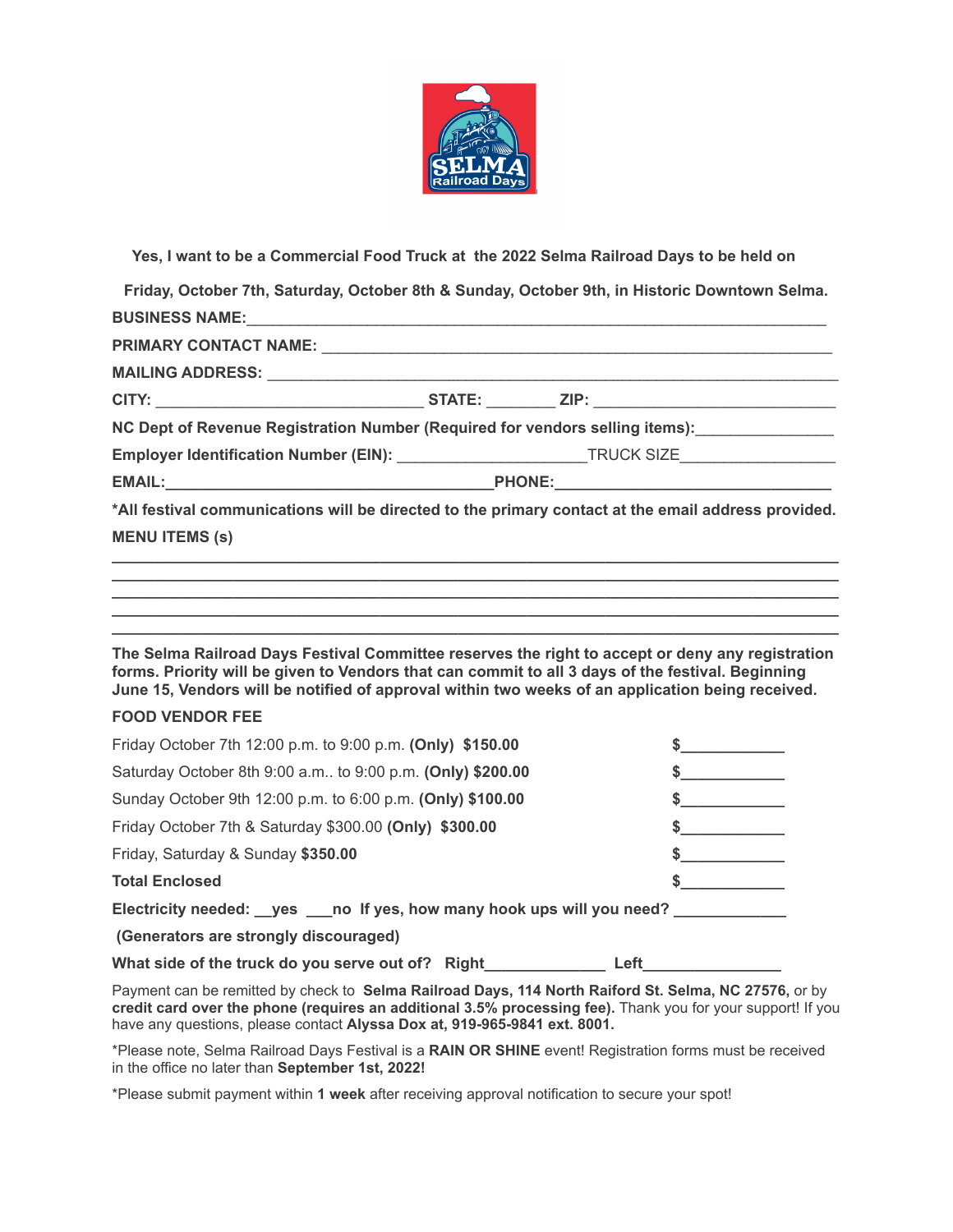

**Yes, I want to be a Commercial Food Truck at the 2022 Selma Railroad Days to be held on**

**Friday, October 7th, Saturday, October 8th & Sunday, October 9th, in Historic Downtown Selma. BUSINESS NAME:**\_\_\_\_\_\_\_\_\_\_\_\_\_\_\_\_\_\_\_\_\_\_\_\_\_\_\_\_\_\_\_\_\_\_\_\_\_\_\_\_\_\_\_\_\_\_\_\_\_\_\_\_\_\_\_\_\_\_\_\_\_\_\_\_\_\_\_

| NC Dept of Revenue Registration Number (Required for vendors selling items): ________________                         |  |  |
|-----------------------------------------------------------------------------------------------------------------------|--|--|
| Employer Identification Number (EIN): ____________________________TRUCK SIZE_______________________                   |  |  |
|                                                                                                                       |  |  |
| *All festival communications will be directed to the primary contact at the email address provided.                   |  |  |
| <b>MENU ITEMS (s)</b>                                                                                                 |  |  |
| <u> 1989 - Johann John Stein, mars an deus Amerikaansk kommunister (</u>                                              |  |  |
| <u> 1989 - Johann Harry Harry Harry Harry Harry Harry Harry Harry Harry Harry Harry Harry Harry Harry Harry Harry</u> |  |  |
|                                                                                                                       |  |  |

**The Selma Railroad Days Festival Committee reserves the right to accept or deny any registration forms. Priority will be given to Vendors that can commit to all 3 days of the festival. Beginning June 15, Vendors will be notified of approval within two weeks of an application being received.**

**\_\_\_\_\_\_\_\_\_\_\_\_\_\_\_\_\_\_\_\_\_\_\_\_\_\_\_\_\_\_\_\_\_\_\_\_\_\_\_\_\_\_\_\_\_\_\_\_\_\_\_\_\_\_\_\_\_\_\_\_\_\_\_\_\_\_\_\_\_\_\_\_\_\_\_\_\_\_\_\_\_\_\_\_**

## **FOOD VENDOR FEE**

| Friday October 7th 12:00 p.m. to 9:00 p.m. (Only) \$150.00                       |  |  |  |
|----------------------------------------------------------------------------------|--|--|--|
| Saturday October 8th 9:00 a.m., to 9:00 p.m. (Only) \$200.00                     |  |  |  |
| Sunday October 9th 12:00 p.m. to 6:00 p.m. (Only) \$100.00                       |  |  |  |
| Friday October 7th & Saturday \$300.00 (Only) \$300.00                           |  |  |  |
| Friday, Saturday & Sunday \$350.00                                               |  |  |  |
| <b>Total Enclosed</b>                                                            |  |  |  |
| Electricity needed: __yes ___no If yes, how many hook ups will you need? _______ |  |  |  |
| (Generators are strongly discouraged)                                            |  |  |  |
|                                                                                  |  |  |  |

What side of the truck do you serve out of? Right\_\_\_\_\_\_\_\_\_\_\_\_\_\_\_\_\_\_\_\_\_Left\_\_\_\_

Payment can be remitted by check to **Selma Railroad Days, 114 North Raiford St. Selma, NC 27576,** or by **credit card over the phone (requires an additional 3.5% processing fee).** Thank you for your support! If you have any questions, please contact **Alyssa Dox at, 919-965-9841 ext. 8001.**

\*Please note, Selma Railroad Days Festival is a **RAIN OR SHINE** event! Registration forms must be received in the office no later than **September 1st, 2022!**

\*Please submit payment within **1 week** after receiving approval notification to secure your spot!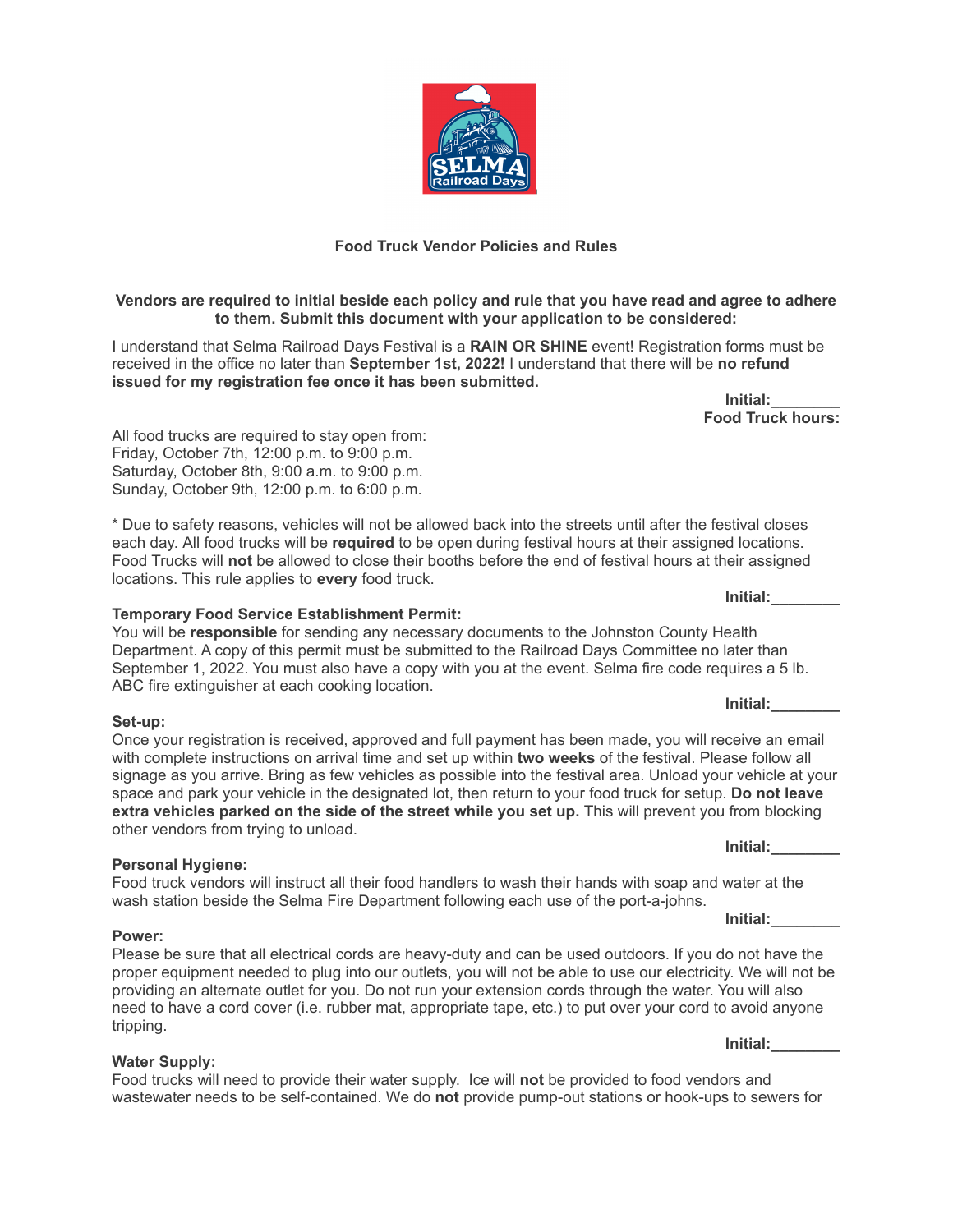

### **Vendors are required to initial beside each policy and rule that you have read and agree to adhere to them. Submit this document with your application to be considered:**

I understand that Selma Railroad Days Festival is a **RAIN OR SHINE** event! Registration forms must be received in the office no later than **September 1st, 2022!** I understand that there will be **no refund issued for my registration fee once it has been submitted.**

> **Initial:\_\_\_\_\_\_\_\_ Food Truck hours:**

All food trucks are required to stay open from: Friday, October 7th, 12:00 p.m. to 9:00 p.m. Saturday, October 8th, 9:00 a.m. to 9:00 p.m. Sunday, October 9th, 12:00 p.m. to 6:00 p.m.

\* Due to safety reasons, vehicles will not be allowed back into the streets until after the festival closes each day. All food trucks will be **required** to be open during festival hours at their assigned locations. Food Trucks will **not** be allowed to close their booths before the end of festival hours at their assigned locations. This rule applies to **every** food truck.

### **Temporary Food Service Establishment Permit:**

You will be **responsible** for sending any necessary documents to the Johnston County Health Department. A copy of this permit must be submitted to the Railroad Days Committee no later than September 1, 2022. You must also have a copy with you at the event. Selma fire code requires a 5 lb. ABC fire extinguisher at each cooking location.

#### **Set-up:**

Once your registration is received, approved and full payment has been made, you will receive an email with complete instructions on arrival time and set up within **two weeks** of the festival. Please follow all signage as you arrive. Bring as few vehicles as possible into the festival area. Unload your vehicle at your space and park your vehicle in the designated lot, then return to your food truck for setup. **Do not leave extra vehicles parked on the side of the street while you set up.** This will prevent you from blocking other vendors from trying to unload.

### **Personal Hygiene:**

Food truck vendors will instruct all their food handlers to wash their hands with soap and water at the wash station beside the Selma Fire Department following each use of the port-a-johns.

### **Power:**

## Please be sure that all electrical cords are heavy-duty and can be used outdoors. If you do not have the proper equipment needed to plug into our outlets, you will not be able to use our electricity. We will not be providing an alternate outlet for you. Do not run your extension cords through the water. You will also need to have a cord cover (i.e. rubber mat, appropriate tape, etc.) to put over your cord to avoid anyone tripping.

## **Water Supply:**

Food trucks will need to provide their water supply. Ice will **not** be provided to food vendors and wastewater needs to be self-contained. We do **not** provide pump-out stations or hook-ups to sewers for

**Initial:\_\_\_\_\_\_\_\_**

**Initial:\_\_\_\_\_\_\_\_**

**Initial:\_\_\_\_\_\_\_\_**

**Initial:\_\_\_\_\_\_\_\_**

**Initial:\_\_\_\_\_\_\_\_**

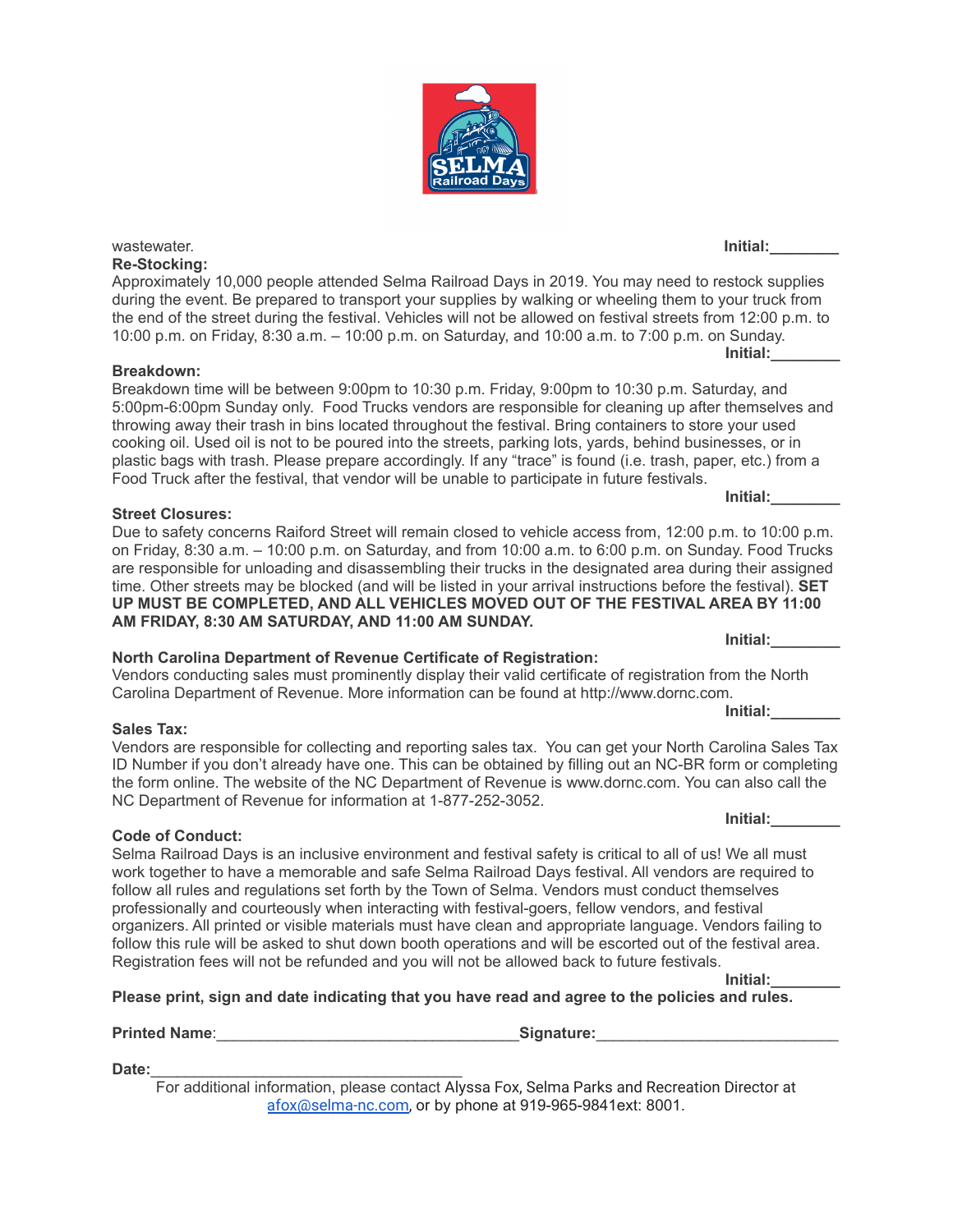**Re-Stocking:** Approximately 10,000 people attended Selma Railroad Days in 2019. You may need to restock supplies during the event. Be prepared to transport your supplies by walking or wheeling them to your truck from the end of the street during the festival. Vehicles will not be allowed on festival streets from 12:00 p.m. to 10:00 p.m. on Friday, 8:30 a.m. – 10:00 p.m. on Saturday, and 10:00 a.m. to 7:00 p.m. on Sunday. **Initial:\_\_\_\_\_\_\_\_**

wastewater. **Initial:\_\_\_\_\_\_\_\_**

## **Breakdown:**

Breakdown time will be between 9:00pm to 10:30 p.m. Friday, 9:00pm to 10:30 p.m. Saturday, and 5:00pm-6:00pm Sunday only. Food Trucks vendors are responsible for cleaning up after themselves and throwing away their trash in bins located throughout the festival. Bring containers to store your used cooking oil. Used oil is not to be poured into the streets, parking lots, yards, behind businesses, or in plastic bags with trash. Please prepare accordingly. If any "trace" is found (i.e. trash, paper, etc.) from a Food Truck after the festival, that vendor will be unable to participate in future festivals.

## **Street Closures:**

Due to safety concerns Raiford Street will remain closed to vehicle access from, 12:00 p.m. to 10:00 p.m. on Friday, 8:30 a.m. – 10:00 p.m. on Saturday, and from 10:00 a.m. to 6:00 p.m. on Sunday. Food Trucks are responsible for unloading and disassembling their trucks in the designated area during their assigned time. Other streets may be blocked (and will be listed in your arrival instructions before the festival). **SET UP MUST BE COMPLETED, AND ALL VEHICLES MOVED OUT OF THE FESTIVAL AREA BY 11:00 AM FRIDAY, 8:30 AM SATURDAY, AND 11:00 AM SUNDAY. Initial:\_\_\_\_\_\_\_\_**

# **North Carolina Department of Revenue Certificate of Registration:**

Vendors conducting sales must prominently display their valid certificate of registration from the North Carolina Department of Revenue. More information can be found at http://www.dornc.com.

## **Sales Tax:**

Vendors are responsible for collecting and reporting sales tax. You can get your North Carolina Sales Tax ID Number if you don't already have one. This can be obtained by filling out an NC-BR form or completing the form online. The website of the NC Department of Revenue is www.dornc.com. You can also call the NC Department of Revenue for information at 1-877-252-3052.

# **Code of Conduct:**

Selma Railroad Days is an inclusive environment and festival safety is critical to all of us! We all must work together to have a memorable and safe Selma Railroad Days festival. All vendors are required to follow all rules and regulations set forth by the Town of Selma. Vendors must conduct themselves professionally and courteously when interacting with festival-goers, fellow vendors, and festival organizers. All printed or visible materials must have clean and appropriate language. Vendors failing to follow this rule will be asked to shut down booth operations and will be escorted out of the festival area. Registration fees will not be refunded and you will not be allowed back to future festivals.

**Initial:\_\_\_\_\_\_\_\_ Please print, sign and date indicating that you have read and agree to the policies and rules.**

**Printed Name**:\_\_\_\_\_\_\_\_\_\_\_\_\_\_\_\_\_\_\_\_\_\_\_\_\_\_\_\_\_\_\_\_\_\_\_**Signature:**\_\_\_\_\_\_\_\_\_\_\_\_\_\_\_\_\_\_\_\_\_\_\_\_\_\_\_\_

**Date:**\_\_\_\_\_\_\_\_\_\_\_\_\_\_\_\_\_\_\_\_\_\_\_\_\_\_\_\_\_\_\_\_\_\_\_\_ For additional information, please contact Alyssa Fox, Selma Parks and Recreation Director at [afox@selma-nc.com,](mailto:afox@selma-nc.com) or by phone at 919-965-9841ext: 8001.



**Initial:\_\_\_\_\_\_\_\_**

**Initial:\_\_\_\_\_\_\_\_**